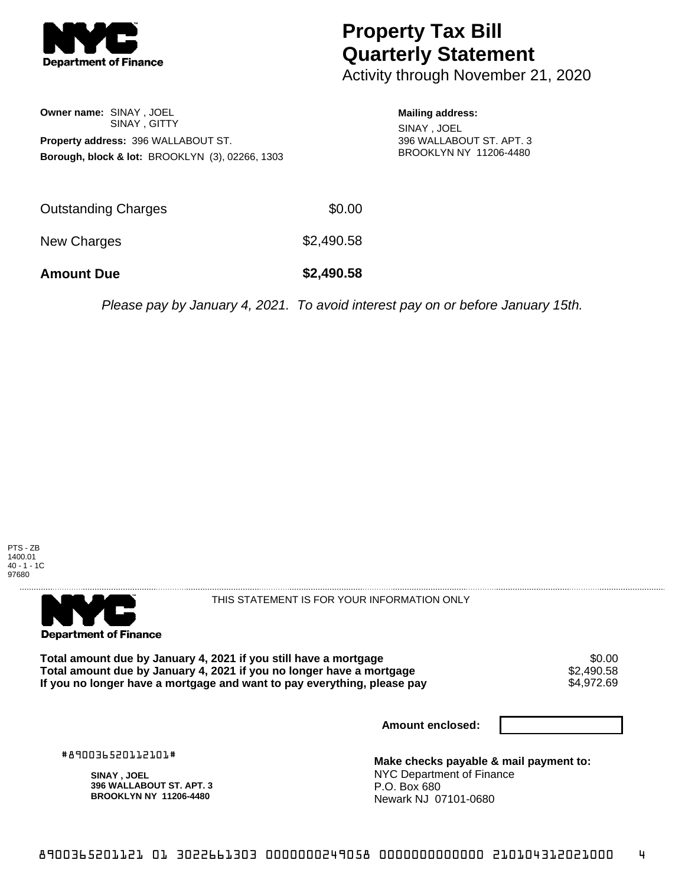

## **Property Tax Bill Quarterly Statement**

Activity through November 21, 2020

**Owner name:** SINAY , JOEL SINAY , GITTY **Property address:** 396 WALLABOUT ST. **Borough, block & lot:** BROOKLYN (3), 02266, 1303

**Mailing address:** SINAY , JOEL 396 WALLABOUT ST. APT. 3 BROOKLYN NY 11206-4480

| <b>Amount Due</b>   | \$2,490.58 |
|---------------------|------------|
| New Charges         | \$2,490.58 |
| Outstanding Charges | \$0.00     |

Please pay by January 4, 2021. To avoid interest pay on or before January 15th.

PTS - ZB 1400.01 40 - 1 - 1C 97680



THIS STATEMENT IS FOR YOUR INFORMATION ONLY

Total amount due by January 4, 2021 if you still have a mortgage \$0.00<br>Total amount due by January 4, 2021 if you no longer have a mortgage \$2.490.58 **Total amount due by January 4, 2021 if you no longer have a mortgage**  $$2,490.58$ **<br>If you no longer have a mortgage and want to pay everything, please pay**  $$4.972.69$ If you no longer have a mortgage and want to pay everything, please pay

**Amount enclosed:**

#890036520112101#

**SINAY , JOEL 396 WALLABOUT ST. APT. 3 BROOKLYN NY 11206-4480**

**Make checks payable & mail payment to:** NYC Department of Finance P.O. Box 680 Newark NJ 07101-0680